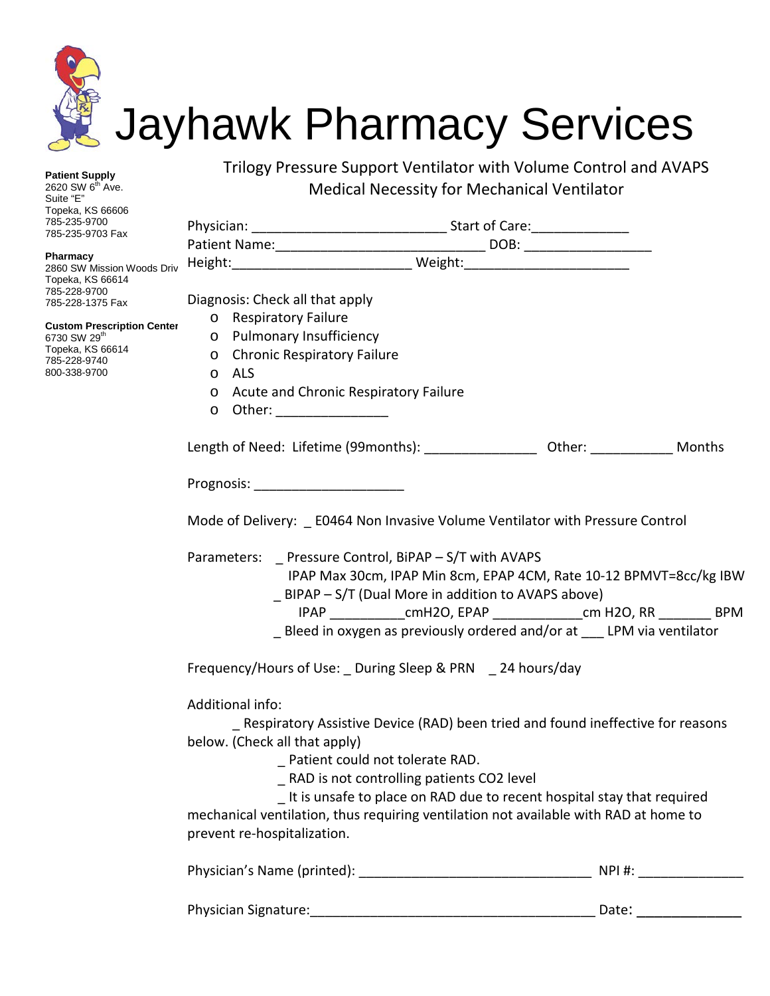

**Patient Supply**  2620 SW 6<sup>th</sup> Ave. Suite "E" Topeka, KS 66606 785-235-9700 785-235-9703 Fax

**Pharmacy**

2860 SW Mission Woods Dr Topeka, KS 66614 785-228-9700 785-228-1375 Fax

**Custom Prescription Cent** 6730 SW 29th Topeka, KS 66614 785-228-9740 800-338-9700

Trilogy Pressure Support Ventilator with Volume Control and AVAPS Medical Necessity for Mechanical Ventilator

| riv |                                                                                                                                                                                     | Height: __________________________________ Weight: _____________________________                                                                                                                                                                                                                                                                  |        |  |
|-----|-------------------------------------------------------------------------------------------------------------------------------------------------------------------------------------|---------------------------------------------------------------------------------------------------------------------------------------------------------------------------------------------------------------------------------------------------------------------------------------------------------------------------------------------------|--------|--|
| ter | Diagnosis: Check all that apply<br>o Respiratory Failure<br>Pulmonary Insufficiency<br>$\circ$<br><b>Chronic Respiratory Failure</b><br>$\circ$<br><b>ALS</b><br>$\circ$<br>$\circ$ | Acute and Chronic Respiratory Failure                                                                                                                                                                                                                                                                                                             |        |  |
|     | Other: __________________<br>$\circ$                                                                                                                                                | Length of Need: Lifetime (99months): ___________________ Other: _____________ Months                                                                                                                                                                                                                                                              |        |  |
|     | Prognosis: ________________________                                                                                                                                                 |                                                                                                                                                                                                                                                                                                                                                   |        |  |
|     |                                                                                                                                                                                     | Mode of Delivery: _ E0464 Non Invasive Volume Ventilator with Pressure Control                                                                                                                                                                                                                                                                    |        |  |
|     |                                                                                                                                                                                     | Parameters: _ Pressure Control, BiPAP - S/T with AVAPS<br>IPAP Max 30cm, IPAP Min 8cm, EPAP 4CM, Rate 10-12 BPMVT=8cc/kg IBW<br>_ BIPAP - S/T (Dual More in addition to AVAPS above)<br>IPAP ________________cmH2O, EPAP ___________________cm H2O, RR __________ BPM<br>_ Bleed in oxygen as previously ordered and/or at ___ LPM via ventilator |        |  |
|     |                                                                                                                                                                                     | Frequency/Hours of Use: _ During Sleep & PRN _ 24 hours/day                                                                                                                                                                                                                                                                                       |        |  |
|     | Additional info:<br>below. (Check all that apply)<br>prevent re-hospitalization.                                                                                                    | _ Respiratory Assistive Device (RAD) been tried and found ineffective for reasons<br>_ Patient could not tolerate RAD.<br>_ RAD is not controlling patients CO2 level<br>_ It is unsafe to place on RAD due to recent hospital stay that required<br>mechanical ventilation, thus requiring ventilation not available with RAD at home to         |        |  |
|     |                                                                                                                                                                                     |                                                                                                                                                                                                                                                                                                                                                   | NPI #: |  |

| Physician Signature: |  |  |
|----------------------|--|--|

Date:  $\frac{C}{C}$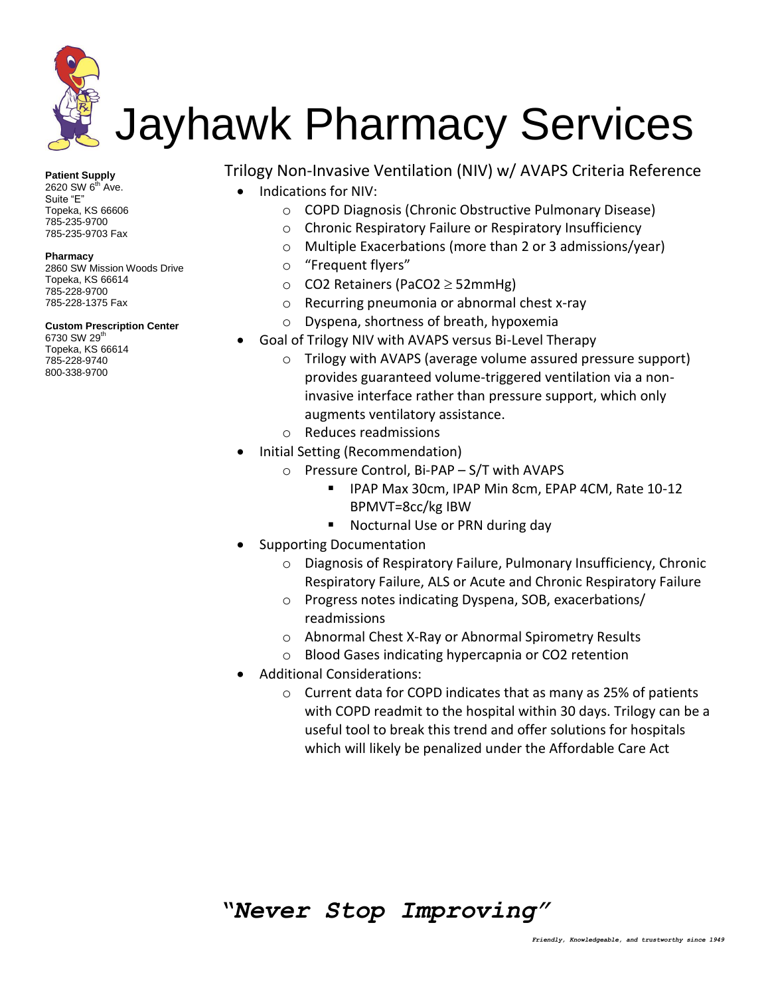

**Patient Supply** 

 $2620$  SW  $6^{\text{th}}$  Ave. Suite "E" Topeka, KS 66606 785-235-9700 785-235-9703 Fax

#### **Pharmacy**

2860 SW Mission Woods Drive Topeka, KS 66614 785-228-9700 785-228-1375 Fax

### **Custom Prescription Center**

6730 SW 29<sup>th</sup> Topeka, KS 66614 785-228-9740 800-338-9700

Trilogy Non-Invasive Ventilation (NIV) w/ AVAPS Criteria Reference

- Indications for NIV:
	- o COPD Diagnosis (Chronic Obstructive Pulmonary Disease)
	- o Chronic Respiratory Failure or Respiratory Insufficiency
	- o Multiple Exacerbations (more than 2 or 3 admissions/year)
	- o "Frequent flyers"
	- $\circ$  CO2 Retainers (PaCO2  $\geq$  52mmHg)
	- o Recurring pneumonia or abnormal chest x-ray
	- o Dyspena, shortness of breath, hypoxemia
- Goal of Trilogy NIV with AVAPS versus Bi-Level Therapy
	- o Trilogy with AVAPS (average volume assured pressure support) provides guaranteed volume-triggered ventilation via a noninvasive interface rather than pressure support, which only augments ventilatory assistance.
	- o Reduces readmissions
- Initial Setting (Recommendation)
	- o Pressure Control, Bi-PAP S/T with AVAPS
		- IPAP Max 30cm, IPAP Min 8cm, EPAP 4CM, Rate 10-12 BPMVT=8cc/kg IBW
		- **Nocturnal Use or PRN during day**
- Supporting Documentation
	- o Diagnosis of Respiratory Failure, Pulmonary Insufficiency, Chronic Respiratory Failure, ALS or Acute and Chronic Respiratory Failure
	- o Progress notes indicating Dyspena, SOB, exacerbations/ readmissions
	- o Abnormal Chest X-Ray or Abnormal Spirometry Results
	- o Blood Gases indicating hypercapnia or CO2 retention
- Additional Considerations:
	- o Current data for COPD indicates that as many as 25% of patients with COPD readmit to the hospital within 30 days. Trilogy can be a useful tool to break this trend and offer solutions for hospitals which will likely be penalized under the Affordable Care Act

## *"Never Stop Improving"*